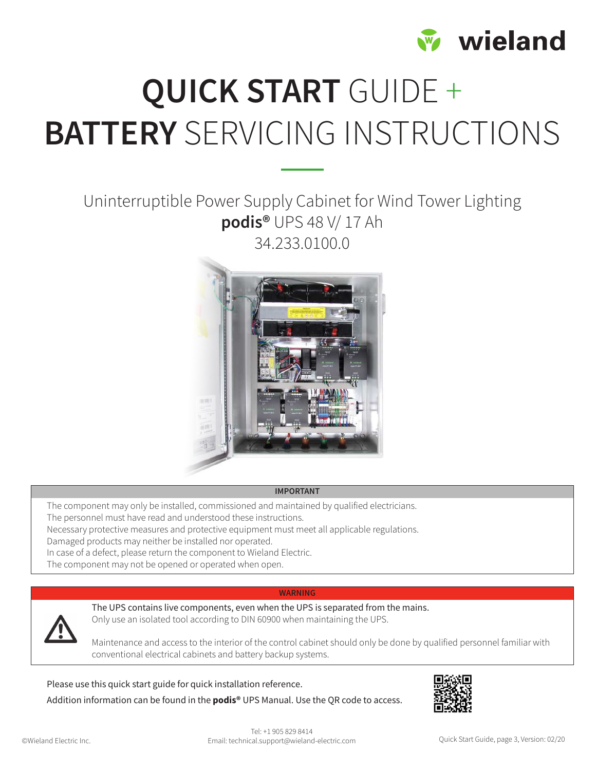

# QUICK START GUIDE + BATTERY SERVICING INSTRUCTIONS

### Uninterruptible Power Supply Cabinet for Wind Tower Lighting podis® UPS 48 V/ 17 Ah 34.233.0100.0



#### IMPORTANT

The component may only be installed, commissioned and maintained by qualified electricians. The personnel must have read and understood these instructions.

Necessary protective measures and protective equipment must meet all applicable regulations. Damaged products may neither be installed nor operated.

In case of a defect, please return the component to Wieland Electric.

The component may not be opened or operated when open.

#### WARNING



The UPS contains live components, even when the UPS is separated from the mains. Only use an isolated tool according to DIN 60900 when maintaining the UPS.

Maintenance and access to the interior of the control cabinet should only be done by qualified personnel familiar with conventional electrical cabinets and battery backup systems.

Please use this quick start guide for quick installation reference.

Addition information can be found in the **podis<sup>®</sup>** UPS Manual. Use the OR code to access.

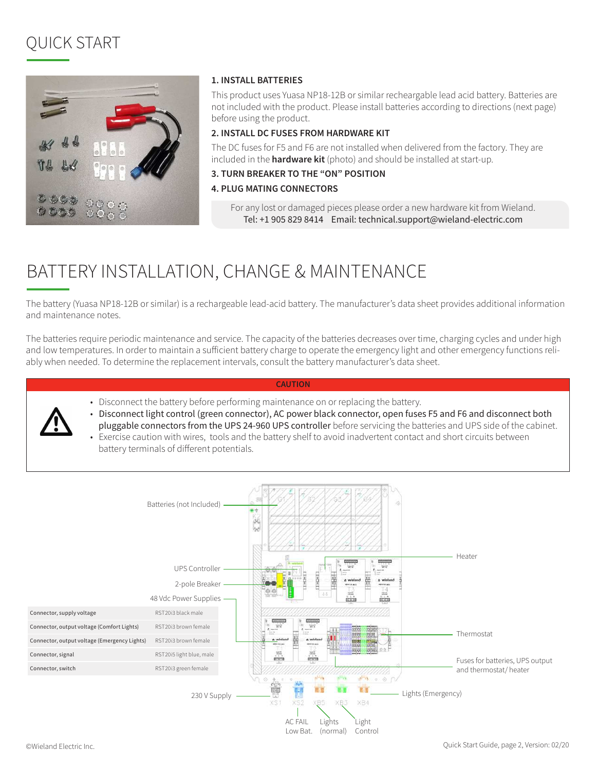# QUICK START



#### 1. INSTALL BATTERIES

This product uses Yuasa NP18-12B or similar recheargable lead acid battery. Batteries are not included with the product. Please install batteries according to directions (next page) before using the product.

#### 2. INSTALL DC FUSES FROM HARDWARE KIT

The DC fuses for F5 and F6 are not installed when delivered from the factory. They are included in the **hardware kit** (photo) and should be installed at start-up.

#### 3. TURN BREAKER TO THE "ON" POSITION

#### 4. PLUG MATING CONNECTORS

For any lost or damaged pieces please order a new hardware kit from Wieland. Tel: +1 905 829 8414 Email: technical.support@wieland-electric.com

## BATTERY INSTALLATION, CHANGE & MAINTENANCE

The battery (Yuasa NP18-12B or similar) is a rechargeable lead-acid battery. The manufacturer's data sheet provides additional information and maintenance notes.

The batteries require periodic maintenance and service. The capacity of the batteries decreases over time, charging cycles and under high and low temperatures. In order to maintain a sufficient battery charge to operate the emergency light and other emergency functions reliably when needed. To determine the replacement intervals, consult the battery manufacturer's data sheet.

#### CAUTION

• Disconnect the battery before performing maintenance on or replacing the battery.

• Disconnect light control (green connector), AC power black connector, open fuses F5 and F6 and disconnect both pluggable connectors from the UPS 24-960 UPS controller before servicing the batteries and UPS side of the cabinet. • Exercise caution with wires, tools and the battery shelf to avoid inadvertent contact and short circuits between battery terminals of different potentials.

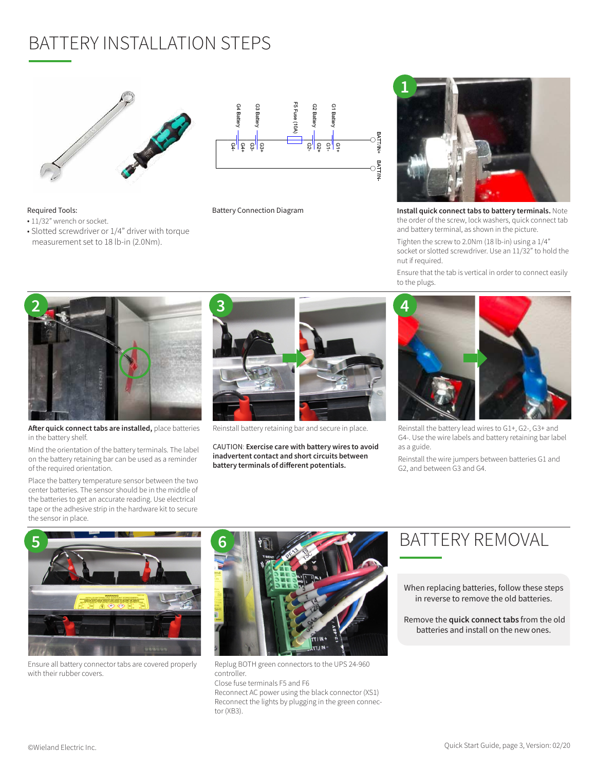# BATTERY INSTALLATION STEPS



• Slotted screwdriver or 1/4" driver with torque measurement set to 18 lb-in (2.0Nm).

Required Tools: • 11/32" wrench or socket.



Battery Connection Diagram



Install quick connect tabs to battery terminals. Note the order of the screw, lock washers, quick connect tab and battery terminal, as shown in the picture.

Tighten the screw to 2.0Nm (18 lb-in) using a 1/4" socket or slotted screwdriver. Use an 11/32" to hold the nut if required.

Ensure that the tab is vertical in order to connect easily to the plugs.



After quick connect tabs are installed, place batteries in the battery shelf.

Mind the orientation of the battery terminals. The label on the battery retaining bar can be used as a reminder of the required orientation.

Place the battery temperature sensor between the two center batteries. The sensor should be in the middle of the batteries to get an accurate reading. Use electrical tape or the adhesive strip in the hardware kit to secure the sensor in place.



Reinstall battery retaining bar and secure in place.

CAUTION: Exercise care with battery wires to avoid inadvertent contact and short circuits between battery terminals of different potentials.



Reinstall the battery lead wires to G1+, G2-, G3+ and G4-. Use the wire labels and battery retaining bar label

Reinstall the wire jumpers between batteries G1 and G2, and between G3 and G4.



Ensure all battery connector tabs are covered properly with their rubber covers.



Replug BOTH green connectors to the UPS 24-960 controller.

Close fuse terminals F5 and F6 Reconnect AC power using the black connector (XS1) Reconnect the lights by plugging in the green connector (XB3).

### BATTERY REMOVAL

When replacing batteries, follow these steps in reverse to remove the old batteries.

 Remove the quick connect tabs from the old batteries and install on the new ones.